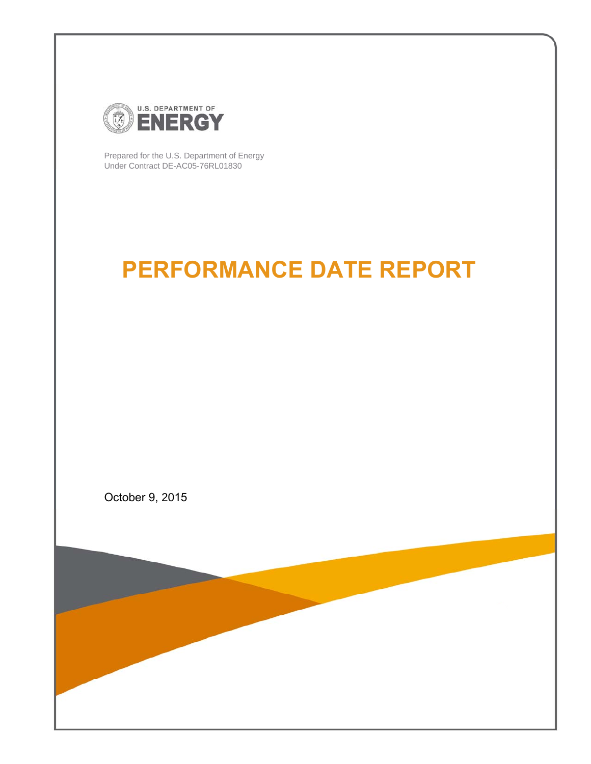

Prepared for the U.S. Department of Energy Under Contract DE-AC05-76RL01830

# **PERFORMANCE DATE REPORT**

October 9, 2015

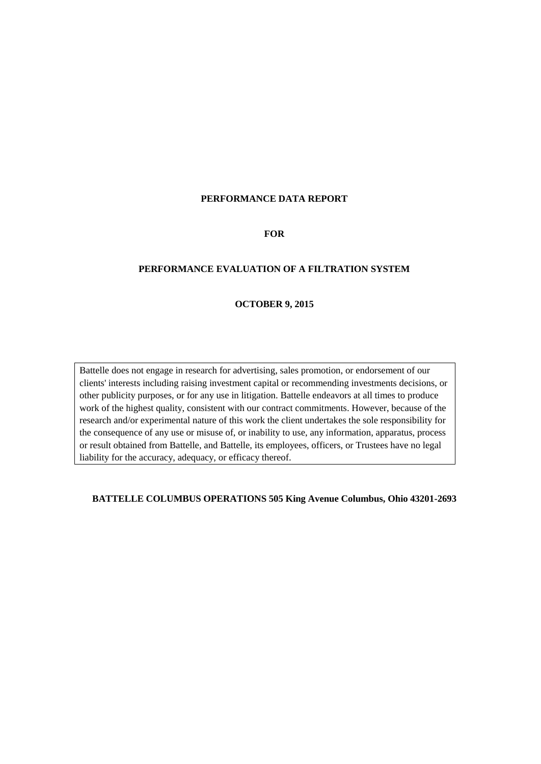## **PERFORMANCE DATA REPORT**

#### **FOR**

## **PERFORMANCE EVALUATION OF A FILTRATION SYSTEM**

## **OCTOBER 9, 2015**

Battelle does not engage in research for advertising, sales promotion, or endorsement of our clients' interests including raising investment capital or recommending investments decisions, or other publicity purposes, or for any use in litigation. Battelle endeavors at all times to produce work of the highest quality, consistent with our contract commitments. However, because of the research and/or experimental nature of this work the client undertakes the sole responsibility for the consequence of any use or misuse of, or inability to use, any information, apparatus, process or result obtained from Battelle, and Battelle, its employees, officers, or Trustees have no legal liability for the accuracy, adequacy, or efficacy thereof.

### **BATTELLE COLUMBUS OPERATIONS 505 King Avenue Columbus, Ohio 43201-2693**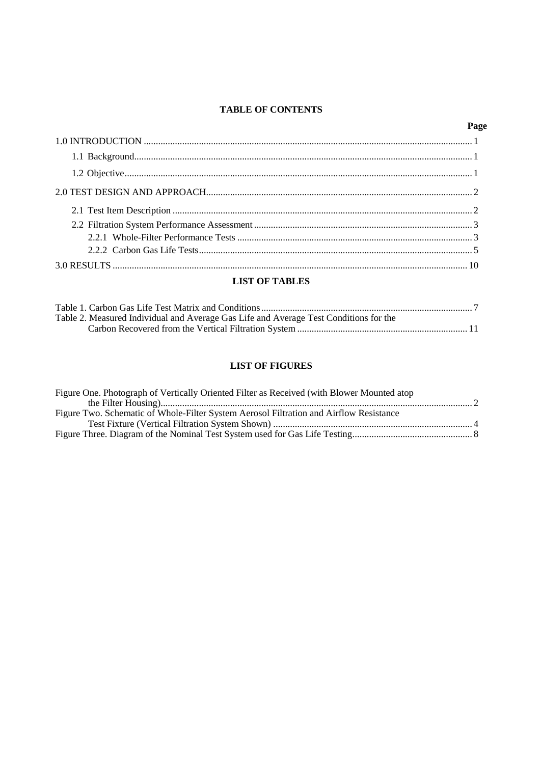## **TABLE OF CONTENTS**

| Page |
|------|
|      |
|      |
|      |
|      |
|      |
|      |
|      |
|      |
|      |

## **LIST OF TABLES**

| Table 2. Measured Individual and Average Gas Life and Average Test Conditions for the |  |
|---------------------------------------------------------------------------------------|--|
|                                                                                       |  |

# **LIST OF FIGURES**

| Figure One. Photograph of Vertically Oriented Filter as Received (with Blower Mounted atop) |  |
|---------------------------------------------------------------------------------------------|--|
|                                                                                             |  |
| Figure Two. Schematic of Whole-Filter System Aerosol Filtration and Airflow Resistance      |  |
|                                                                                             |  |
|                                                                                             |  |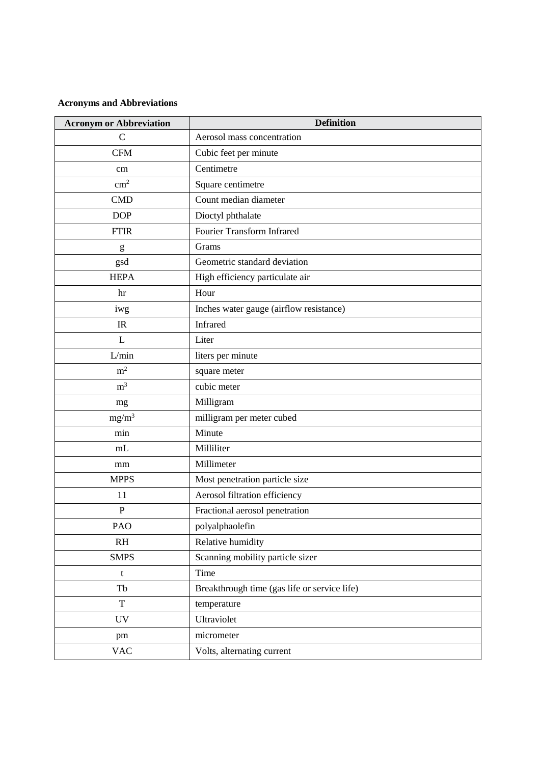# **Acronyms and Abbreviations**

| <b>Acronym or Abbreviation</b> | <b>Definition</b>                            |  |  |  |
|--------------------------------|----------------------------------------------|--|--|--|
| $\mathbf C$                    | Aerosol mass concentration                   |  |  |  |
| <b>CFM</b>                     | Cubic feet per minute                        |  |  |  |
| cm                             | Centimetre                                   |  |  |  |
| $\text{cm}^2$                  | Square centimetre                            |  |  |  |
| <b>CMD</b>                     | Count median diameter                        |  |  |  |
| <b>DOP</b>                     | Dioctyl phthalate                            |  |  |  |
| <b>FTIR</b>                    | Fourier Transform Infrared                   |  |  |  |
| g                              | Grams                                        |  |  |  |
| gsd                            | Geometric standard deviation                 |  |  |  |
| <b>HEPA</b>                    | High efficiency particulate air              |  |  |  |
| hr                             | Hour                                         |  |  |  |
| iwg                            | Inches water gauge (airflow resistance)      |  |  |  |
| IR                             | Infrared                                     |  |  |  |
| L                              | Liter                                        |  |  |  |
| L/min                          | liters per minute                            |  |  |  |
| m <sup>2</sup>                 | square meter                                 |  |  |  |
| m <sup>3</sup>                 | cubic meter                                  |  |  |  |
| mg                             | Milligram                                    |  |  |  |
| $mg/m^3$                       | milligram per meter cubed                    |  |  |  |
| min                            | Minute                                       |  |  |  |
| mL                             | Milliliter                                   |  |  |  |
| mm                             | Millimeter                                   |  |  |  |
| <b>MPPS</b>                    | Most penetration particle size               |  |  |  |
| 11                             | Aerosol filtration efficiency                |  |  |  |
| $\mathbf P$                    | Fractional aerosol penetration               |  |  |  |
| PAO                            | polyalphaolefin                              |  |  |  |
| RH                             | Relative humidity                            |  |  |  |
| <b>SMPS</b>                    | Scanning mobility particle sizer             |  |  |  |
| t                              | Time                                         |  |  |  |
| Tb                             | Breakthrough time (gas life or service life) |  |  |  |
| $\mathbf T$                    | temperature                                  |  |  |  |
| <b>UV</b>                      | Ultraviolet                                  |  |  |  |
| pm                             | micrometer                                   |  |  |  |
| <b>VAC</b>                     | Volts, alternating current                   |  |  |  |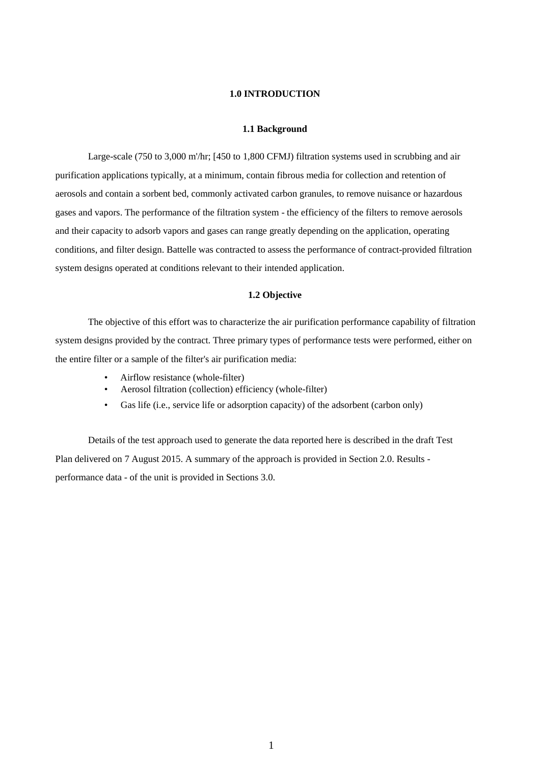## **1.0 INTRODUCTION**

#### **1.1 Background**

<span id="page-4-1"></span><span id="page-4-0"></span>Large-scale (750 to 3,000 m'/hr; [450 to 1,800 CFMJ) filtration systems used in scrubbing and air purification applications typically, at a minimum, contain fibrous media for collection and retention of aerosols and contain a sorbent bed, commonly activated carbon granules, to remove nuisance or hazardous gases and vapors. The performance of the filtration system - the efficiency of the filters to remove aerosols and their capacity to adsorb vapors and gases can range greatly depending on the application, operating conditions, and filter design. Battelle was contracted to assess the performance of contract-provided filtration system designs operated at conditions relevant to their intended application.

#### **1.2 Objective**

<span id="page-4-2"></span>The objective of this effort was to characterize the air purification performance capability of filtration system designs provided by the contract. Three primary types of performance tests were performed, either on the entire filter or a sample of the filter's air purification media:

- Airflow resistance (whole-filter)
- Aerosol filtration (collection) efficiency (whole-filter)
- Gas life (i.e., service life or adsorption capacity) of the adsorbent (carbon only)

Details of the test approach used to generate the data reported here is described in the draft Test Plan delivered on 7 August 2015. A summary of the approach is provided in Section 2.0. Results performance data - of the unit is provided in Sections 3.0.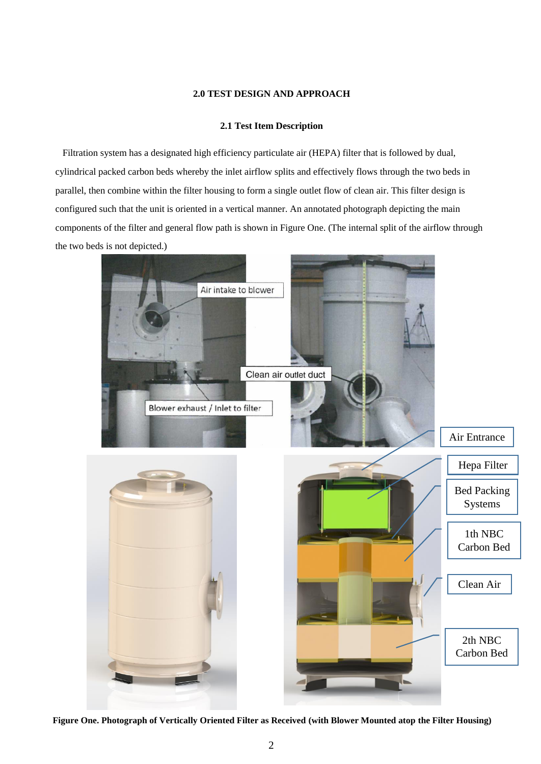#### **2.0 TEST DESIGN AND APPROACH**

### **2.1 Test Item Description**

<span id="page-5-1"></span><span id="page-5-0"></span> Filtration system has a designated high efficiency particulate air (HEPA) filter that is followed by dual, cylindrical packed carbon beds whereby the inlet airflow splits and effectively flows through the two beds in parallel, then combine within the filter housing to form a single outlet flow of clean air. This filter design is configured such that the unit is oriented in a vertical manner. An annotated photograph depicting the main components of the filter and general flow path is shown in Figure One. (The internal split of the airflow through the two beds is not depicted.)



**Figure One. Photograph of Vertically Oriented Filter as Received (with Blower Mounted atop the Filter Housing)**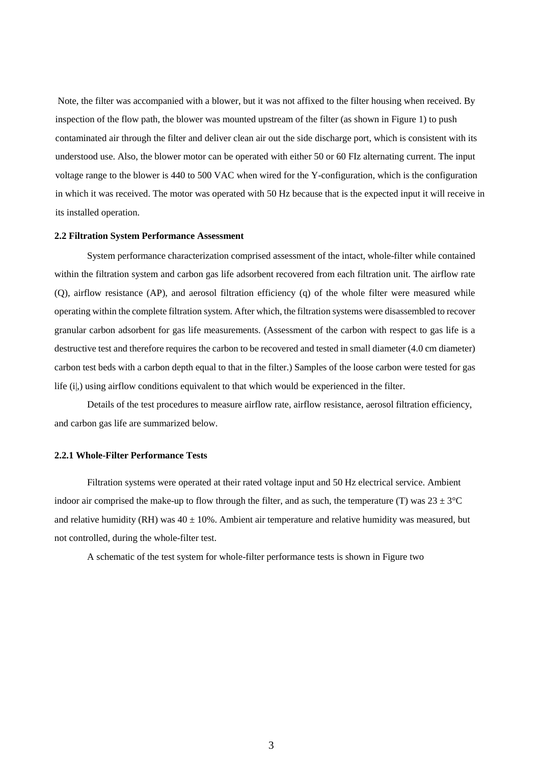Note, the filter was accompanied with a blower, but it was not affixed to the filter housing when received. By inspection of the flow path, the blower was mounted upstream of the filter (as shown in Figure 1) to push contaminated air through the filter and deliver clean air out the side discharge port, which is consistent with its understood use. Also, the blower motor can be operated with either 50 or 60 FIz alternating current. The input voltage range to the blower is 440 to 500 VAC when wired for the Y-configuration, which is the configuration in which it was received. The motor was operated with 50 Hz because that is the expected input it will receive in its installed operation.

#### <span id="page-6-0"></span>**2.2 Filtration System Performance Assessment**

System performance characterization comprised assessment of the intact, whole-filter while contained within the filtration system and carbon gas life adsorbent recovered from each filtration unit. The airflow rate (Q), airflow resistance (AP), and aerosol filtration efficiency (q) of the whole filter were measured while operating within the complete filtration system. After which, the filtration systems were disassembled to recover granular carbon adsorbent for gas life measurements. (Assessment of the carbon with respect to gas life is a destructive test and therefore requires the carbon to be recovered and tested in small diameter (4.0 cm diameter) carbon test beds with a carbon depth equal to that in the filter.) Samples of the loose carbon were tested for gas life (i|,) using airflow conditions equivalent to that which would be experienced in the filter.

Details of the test procedures to measure airflow rate, airflow resistance, aerosol filtration efficiency, and carbon gas life are summarized below.

#### <span id="page-6-1"></span>**2.2.1 Whole-Filter Performance Tests**

Filtration systems were operated at their rated voltage input and 50 Hz electrical service. Ambient indoor air comprised the make-up to flow through the filter, and as such, the temperature (T) was  $23 \pm 3^{\circ}$ C and relative humidity (RH) was  $40 \pm 10\%$ . Ambient air temperature and relative humidity was measured, but not controlled, during the whole-filter test.

A schematic of the test system for whole-filter performance tests is shown in Figure two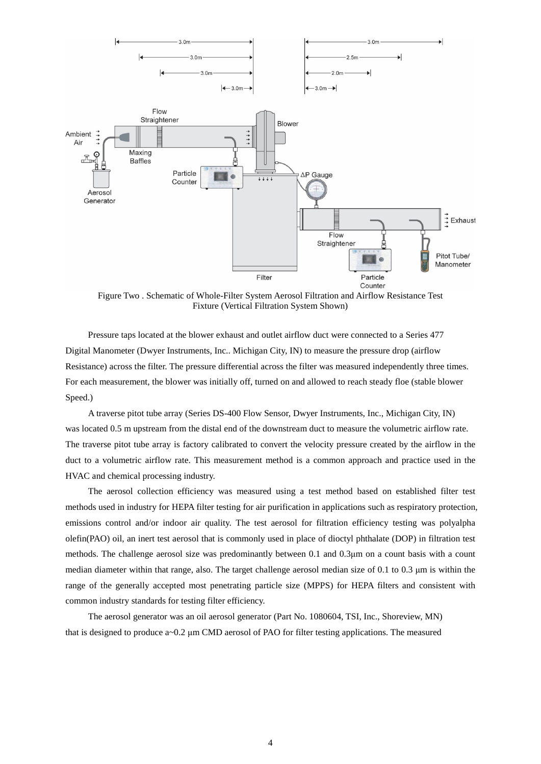

Figure Two . Schematic of Whole-Filter System Aerosol Filtration and Airflow Resistance Test Fixture (Vertical Filtration System Shown)

Pressure taps located at the blower exhaust and outlet airflow duct were connected to a Series 477 Digital Manometer (Dwyer Instruments, Inc.. Michigan City, IN) to measure the pressure drop (airflow Resistance) across the filter. The pressure differential across the filter was measured independently three times. For each measurement, the blower was initially off, turned on and allowed to reach steady floe (stable blower Speed.)

A traverse pitot tube array (Series DS-400 Flow Sensor, Dwyer Instruments, Inc., Michigan City, IN) was located 0.5 m upstream from the distal end of the downstream duct to measure the volumetric airflow rate. The traverse pitot tube array is factory calibrated to convert the velocity pressure created by the airflow in the duct to a volumetric airflow rate. This measurement method is a common approach and practice used in the HVAC and chemical processing industry.

The aerosol collection efficiency was measured using a test method based on established filter test methods used in industry for HEPA filter testing for air purification in applications such as respiratory protection, emissions control and/or indoor air quality. The test aerosol for filtration efficiency testing was polyalpha olefin(PAO) oil, an inert test aerosol that is commonly used in place of dioctyl phthalate (DOP) in filtration test methods. The challenge aerosol size was predominantly between 0.1 and 0.3μm on a count basis with a count median diameter within that range, also. The target challenge aerosol median size of 0.1 to 0.3 μm is within the range of the generally accepted most penetrating particle size (MPPS) for HEPA filters and consistent with common industry standards for testing filter efficiency.

The aerosol generator was an oil aerosol generator (Part No. 1080604, TSI, Inc., Shoreview, MN) that is designed to produce a~0.2 μm CMD aerosol of PAO for filter testing applications. The measured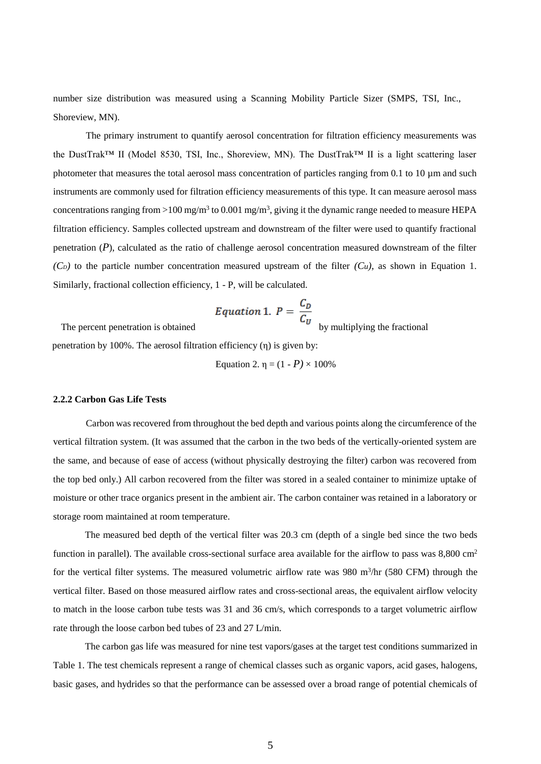number size distribution was measured using a Scanning Mobility Particle Sizer (SMPS, TSI, Inc., Shoreview, MN).

The primary instrument to quantify aerosol concentration for filtration efficiency measurements was the DustTrak™ II (Model 8530, TSI, Inc., Shoreview, MN). The DustTrak™ II is a light scattering laser photometer that measures the total aerosol mass concentration of particles ranging from 0.1 to 10 µm and such instruments are commonly used for filtration efficiency measurements of this type. It can measure aerosol mass concentrations ranging from >100 mg/m<sup>3</sup> to 0.001 mg/m<sup>3</sup>, giving it the dynamic range needed to measure HEPA filtration efficiency. Samples collected upstream and downstream of the filter were used to quantify fractional penetration (*P*), calculated as the ratio of challenge aerosol concentration measured downstream of the filter  $(C_D)$  to the particle number concentration measured upstream of the filter  $(C_u)$ , as shown in Equation 1. Similarly, fractional collection efficiency, 1 - P, will be calculated.

Equation 1. 
$$
P = \frac{C_D}{C_U}
$$

The percent penetration is obtained by multiplying the fractional

penetration by 100%. The aerosol filtration efficiency (η) is given by:

Equation 2.  $n = (1 - P) \times 100\%$ 

#### **2.2.2 Carbon Gas Life Tests**

Carbon was recovered from throughout the bed depth and various points along the circumference of the vertical filtration system. (It was assumed that the carbon in the two beds of the vertically-oriented system are the same, and because of ease of access (without physically destroying the filter) carbon was recovered from the top bed only.) All carbon recovered from the filter was stored in a sealed container to minimize uptake of moisture or other trace organics present in the ambient air. The carbon container was retained in a laboratory or storage room maintained at room temperature.

The measured bed depth of the vertical filter was 20.3 cm (depth of a single bed since the two beds function in parallel). The available cross-sectional surface area available for the airflow to pass was 8,800 cm<sup>2</sup> for the vertical filter systems. The measured volumetric airflow rate was 980 m<sup>3</sup>/hr (580 CFM) through the vertical filter. Based on those measured airflow rates and cross-sectional areas, the equivalent airflow velocity to match in the loose carbon tube tests was 31 and 36 cm/s, which corresponds to a target volumetric airflow rate through the loose carbon bed tubes of 23 and 27 L/min.

The carbon gas life was measured for nine test vapors/gases at the target test conditions summarized in Table 1. The test chemicals represent a range of chemical classes such as organic vapors, acid gases, halogens, basic gases, and hydrides so that the performance can be assessed over a broad range of potential chemicals of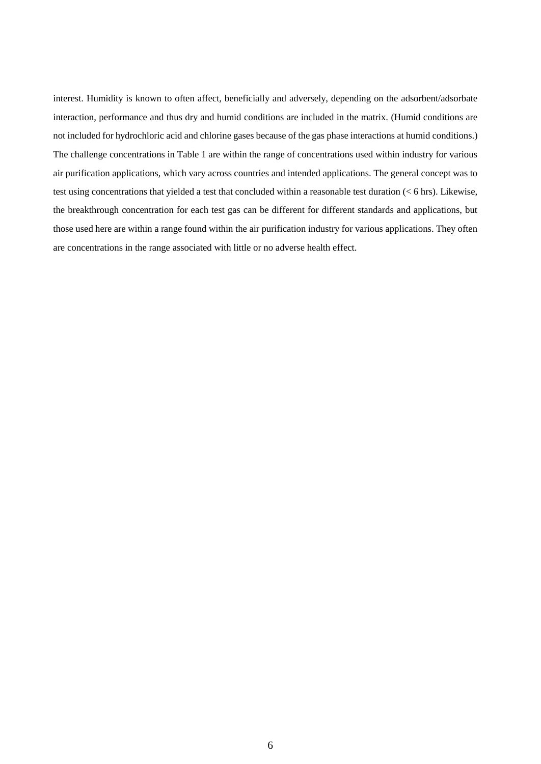interest. Humidity is known to often affect, beneficially and adversely, depending on the adsorbent/adsorbate interaction, performance and thus dry and humid conditions are included in the matrix. (Humid conditions are not included for hydrochloric acid and chlorine gases because of the gas phase interactions at humid conditions.) The challenge concentrations in Table 1 are within the range of concentrations used within industry for various air purification applications, which vary across countries and intended applications. The general concept was to test using concentrations that yielded a test that concluded within a reasonable test duration (< 6 hrs). Likewise, the breakthrough concentration for each test gas can be different for different standards and applications, but those used here are within a range found within the air purification industry for various applications. They often are concentrations in the range associated with little or no adverse health effect.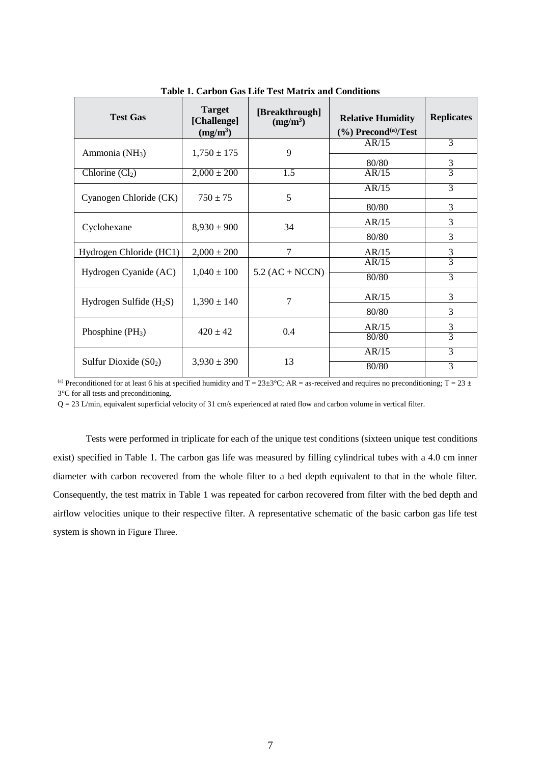| <b>Test Gas</b>            | <b>Target</b><br>[Challenge]<br>$(mg/m^3)$ | [Breakthrough]<br>$(mg/m^3)$ | <b>Relative Humidity</b><br>$(\%)$ Precond <sup>(a)</sup> /Test | <b>Replicates</b> |
|----------------------------|--------------------------------------------|------------------------------|-----------------------------------------------------------------|-------------------|
| Ammonia (NH <sub>3</sub> ) | $1,750 \pm 175$                            | 9                            | AR/15                                                           | $\overline{3}$    |
| Chlorine $(Cl2)$           | $2,000 \pm 200$                            | $\overline{1.5}$             | 80/80<br>AR/15                                                  | $rac{3}{3}$       |
| Cyanogen Chloride (CK)     | $750 \pm 75$                               | 5                            | AR/15                                                           | $\overline{3}$    |
|                            |                                            |                              | 80/80                                                           | 3                 |
| Cyclohexane                | $8,930 \pm 900$                            | 34                           | AR/15                                                           | 3                 |
|                            |                                            |                              | 80/80                                                           | 3                 |
| Hydrogen Chloride (HC1)    | $2,000 \pm 200$                            | 7                            | AR/15                                                           | 3                 |
|                            | $1,040 \pm 100$                            | $5.2 (AC + NCCN)$            | AR/15                                                           | $\overline{3}$    |
| Hydrogen Cyanide (AC)      |                                            |                              | 80/80                                                           | 3                 |
| Hydrogen Sulfide $(H_2S)$  | $1,390 \pm 140$                            | 7                            | AR/15                                                           | 3                 |
|                            |                                            |                              | 80/80                                                           | 3                 |
| Phosphine $(PH_3)$         | $420 + 42$                                 | 0.4                          | AR/15                                                           | $rac{3}{3}$       |
|                            |                                            |                              | 80/80                                                           |                   |
|                            |                                            |                              | AR/15                                                           | 3                 |
| Sulfur Dioxide $(SO2)$     | $3,930 \pm 390$                            | 13                           | 80/80                                                           | 3                 |

**Table 1. Carbon Gas Life Test Matrix and Conditions**

(a) Preconditioned for at least 6 his at specified humidity and  $T = 23 \pm 3$ °C; AR = as-received and requires no preconditioning; T = 23  $\pm$ 3°C for all tests and preconditioning.

 $Q = 23$  L/min, equivalent superficial velocity of 31 cm/s experienced at rated flow and carbon volume in vertical filter.

Tests were performed in triplicate for each of the unique test conditions (sixteen unique test conditions exist) specified in Table 1. The carbon gas life was measured by filling cylindrical tubes with a 4.0 cm inner diameter with carbon recovered from the whole filter to a bed depth equivalent to that in the whole filter. Consequently, the test matrix in Table 1 was repeated for carbon recovered from filter with the bed depth and airflow velocities unique to their respective filter. A representative schematic of the basic carbon gas life test system is shown in Figure Three.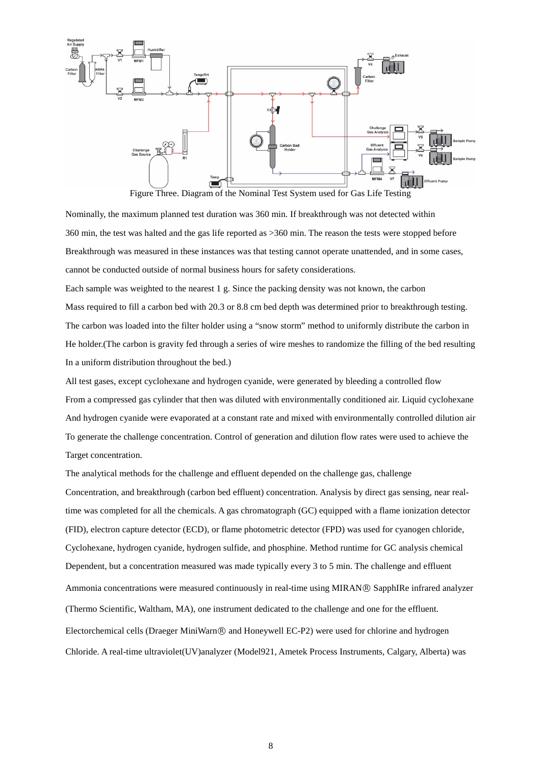

Figure Three. Diagram of the Nominal Test System used for Gas Life Testing

Nominally, the maximum planned test duration was 360 min. If breakthrough was not detected within 360 min, the test was halted and the gas life reported as >360 min. The reason the tests were stopped before Breakthrough was measured in these instances was that testing cannot operate unattended, and in some cases, cannot be conducted outside of normal business hours for safety considerations.

Each sample was weighted to the nearest 1 g. Since the packing density was not known, the carbon Mass required to fill a carbon bed with 20.3 or 8.8 cm bed depth was determined prior to breakthrough testing. The carbon was loaded into the filter holder using a "snow storm" method to uniformly distribute the carbon in He holder.(The carbon is gravity fed through a series of wire meshes to randomize the filling of the bed resulting In a uniform distribution throughout the bed.)

All test gases, except cyclohexane and hydrogen cyanide, were generated by bleeding a controlled flow From a compressed gas cylinder that then was diluted with environmentally conditioned air. Liquid cyclohexane And hydrogen cyanide were evaporated at a constant rate and mixed with environmentally controlled dilution air To generate the challenge concentration. Control of generation and dilution flow rates were used to achieve the Target concentration.

The analytical methods for the challenge and effluent depended on the challenge gas, challenge Concentration, and breakthrough (carbon bed effluent) concentration. Analysis by direct gas sensing, near realtime was completed for all the chemicals. A gas chromatograph (GC) equipped with a flame ionization detector (FID), electron capture detector (ECD), or flame photometric detector (FPD) was used for cyanogen chloride, Cyclohexane, hydrogen cyanide, hydrogen sulfide, and phosphine. Method runtime for GC analysis chemical Dependent, but a concentration measured was made typically every 3 to 5 min. The challenge and effluent Ammonia concentrations were measured continuously in real-time using MIRAN® SapphIRe infrared analyzer (Thermo Scientific, Waltham, MA), one instrument dedicated to the challenge and one for the effluent. Electorchemical cells (Draeger MiniWarn<sup>®</sup> and Honeywell EC-P2) were used for chlorine and hydrogen Chloride. A real-time ultraviolet(UV)analyzer (Model921, Ametek Process Instruments, Calgary, Alberta) was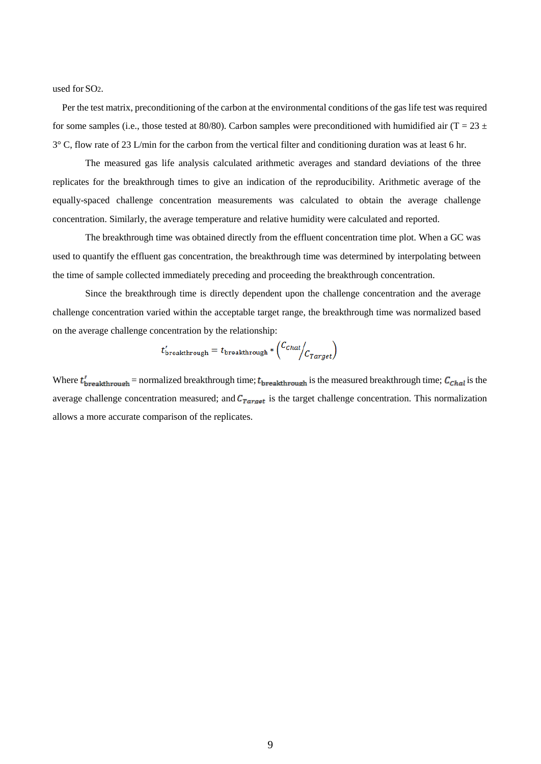used for SO2.

 Per the test matrix, preconditioning of the carbon at the environmental conditions of the gas life test was required for some samples (i.e., those tested at 80/80). Carbon samples were preconditioned with humidified air (T = 23  $\pm$ 3° C, flow rate of 23 L/min for the carbon from the vertical filter and conditioning duration was at least 6 hr.

The measured gas life analysis calculated arithmetic averages and standard deviations of the three replicates for the breakthrough times to give an indication of the reproducibility. Arithmetic average of the equally-spaced challenge concentration measurements was calculated to obtain the average challenge concentration. Similarly, the average temperature and relative humidity were calculated and reported.

The breakthrough time was obtained directly from the effluent concentration time plot. When a GC was used to quantify the effluent gas concentration, the breakthrough time was determined by interpolating between the time of sample collected immediately preceding and proceeding the breakthrough concentration.

Since the breakthrough time is directly dependent upon the challenge concentration and the average challenge concentration varied within the acceptable target range, the breakthrough time was normalized based on the average challenge concentration by the relationship:

$$
t'_{\rm{breakthrough}} = t_{\rm{breakthrough}} * \left(\frac{C_{\text{Chal}}}{C_{\text{Target}}}\right)
$$

Where  $t'_{\text{breakthrough}}$  = normalized breakthrough time;  $t_{\text{breakthrough}}$  is the measured breakthrough time;  $C_{\text{chal}}$  is the average challenge concentration measured; and  $C_{Target}$  is the target challenge concentration. This normalization allows a more accurate comparison of the replicates.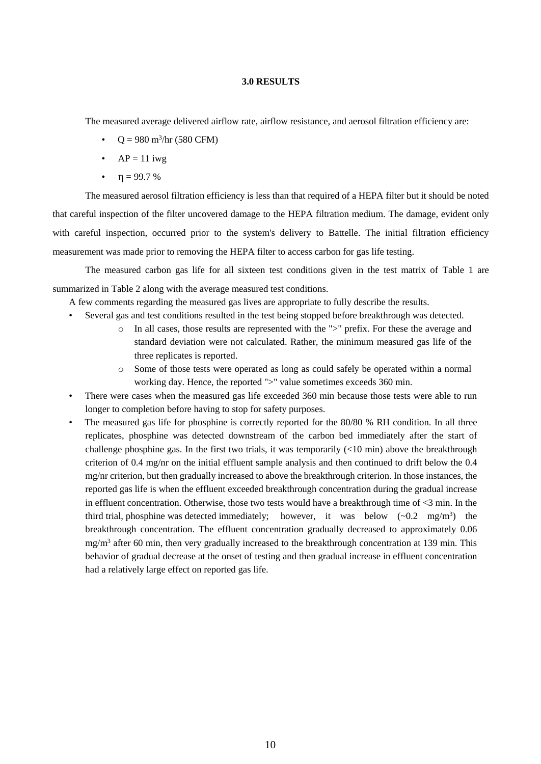#### **3.0 RESULTS**

<span id="page-13-0"></span>The measured average delivered airflow rate, airflow resistance, and aerosol filtration efficiency are:

- $Q = 980 \text{ m}^3/\text{hr}$  (580 CFM)
- $AP = 11$  iwg
- $\cdot \quad \eta = 99.7 \%$

The measured aerosol filtration efficiency is less than that required of a HEPA filter but it should be noted that careful inspection of the filter uncovered damage to the HEPA filtration medium. The damage, evident only with careful inspection, occurred prior to the system's delivery to Battelle. The initial filtration efficiency measurement was made prior to removing the HEPA filter to access carbon for gas life testing.

The measured carbon gas life for all sixteen test conditions given in the test matrix of Table 1 are summarized in Table 2 along with the average measured test conditions.

- A few comments regarding the measured gas lives are appropriate to fully describe the results.
- Several gas and test conditions resulted in the test being stopped before breakthrough was detected.
	- o In all cases, those results are represented with the ">" prefix. For these the average and standard deviation were not calculated. Rather, the minimum measured gas life of the three replicates is reported.
	- o Some of those tests were operated as long as could safely be operated within a normal working day. Hence, the reported ">" value sometimes exceeds 360 min.
- There were cases when the measured gas life exceeded 360 min because those tests were able to run longer to completion before having to stop for safety purposes.
- The measured gas life for phosphine is correctly reported for the 80/80 % RH condition. In all three replicates, phosphine was detected downstream of the carbon bed immediately after the start of challenge phosphine gas. In the first two trials, it was temporarily  $\left($ <10 min) above the breakthrough criterion of 0.4 mg/nr on the initial effluent sample analysis and then continued to drift below the 0.4 mg/nr criterion, but then gradually increased to above the breakthrough criterion. In those instances, the reported gas life is when the effluent exceeded breakthrough concentration during the gradual increase in effluent concentration. Otherwise, those two tests would have a breakthrough time of <3 min. In the third trial, phosphine was detected immediately; however, it was below  $(-0.2 \text{ mg/m}^3)$  the breakthrough concentration. The effluent concentration gradually decreased to approximately 0.06 mg/m<sup>3</sup> after 60 min, then very gradually increased to the breakthrough concentration at 139 min. This behavior of gradual decrease at the onset of testing and then gradual increase in effluent concentration had a relatively large effect on reported gas life.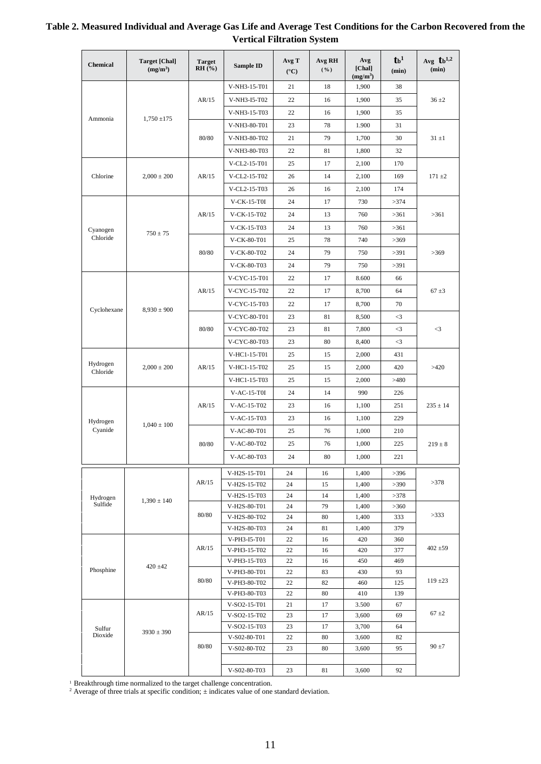| <b>Chemical</b>   | <b>Target [Chal]</b><br>(mg/m <sup>3</sup> ) | <b>Target</b><br>$RH(\overline{?})$ | Sample ID                    | Avg T<br>$({}^{\circ}C)$ | Avg RH<br>( %) | Avg<br>[Chal]<br>(mg/m <sup>3</sup> ) | $_{\text{tb}^1}$<br>(min) | Avg $t_b^{1,2}$<br>(min) |
|-------------------|----------------------------------------------|-------------------------------------|------------------------------|--------------------------|----------------|---------------------------------------|---------------------------|--------------------------|
|                   |                                              |                                     | V-NH3-15-T01                 | 21                       | 18             | 1,900                                 | 38                        |                          |
|                   |                                              | AR/15                               | V-NH3-I5-T02                 | 22                       | 16             | 1,900                                 | 35                        | $36 \pm 2$               |
|                   |                                              |                                     | V-NH3-15-T03                 | 22                       | 16             | 1,900                                 | 35                        |                          |
| Ammonia           | $1,750 \pm 175$                              |                                     | V-NH3-80-T01                 | 23                       | 78             | 1.900                                 | 31                        |                          |
|                   |                                              | 80/80                               | V-NH3-80-T02                 | 21                       | 79             | 1,700                                 | 30                        | $31 \pm 1$               |
|                   |                                              |                                     | V-NH3-80-T03                 | 22                       | 81             | 1,800                                 | 32                        |                          |
|                   |                                              |                                     | V-CL2-15-T01                 | 25                       | 17             | 2,100                                 | 170                       |                          |
| Chlorine          | $2,000 \pm 200$                              | AR/15                               | V-CL2-15-T02                 | 26                       | 14             | 2,100                                 | 169                       | $171 \pm 2$              |
|                   |                                              |                                     |                              |                          |                |                                       |                           |                          |
|                   |                                              |                                     | V-CL2-15-T03                 | 26                       | 16             | 2,100                                 | 174                       |                          |
|                   |                                              |                                     | $V$ -CK-15-T0I               | 24                       | 17             | 730                                   | >374                      |                          |
|                   |                                              | AR/15                               | V-CK-15-T02                  | 24                       | 13             | 760                                   | >361                      | >361                     |
| Cyanogen          | $750 \pm 75$                                 |                                     | V-CK-15-T03                  | 24                       | 13             | 760                                   | >361                      |                          |
| Chloride          |                                              |                                     | V-CK-80-T01                  | 25                       | 78             | 740                                   | >369                      |                          |
|                   |                                              | 80/80                               | V-CK-80-T02                  | 24                       | 79             | 750                                   | >391                      | >369                     |
|                   |                                              |                                     | V-CK-80-T03                  | 24                       | 79             | 750                                   | >391                      |                          |
|                   |                                              |                                     | V-CYC-15-T01                 | 22                       | 17             | 8.600                                 | 66                        |                          |
|                   |                                              | AR/15                               | V-CYC-15-T02                 | 22                       | 17             | 8,700                                 | 64                        | $67 \pm 3$               |
|                   |                                              |                                     | V-CYC-15-T03                 | 22                       | 17             | 8,700                                 | 70                        |                          |
| Cyclohexane       | $8,930 \pm 900$                              |                                     | V-CYC-80-T01                 | 23                       | 81             | 8,500                                 | $\leq$ 3                  |                          |
|                   |                                              | 80/80                               | V-CYC-80-T02                 | 23                       | 81             | 7,800                                 | $\leq$ 3                  | $\leq$ 3                 |
|                   |                                              |                                     | V-CYC-80-T03                 | 23                       | 80             | 8,400                                 | $\leq$ 3                  |                          |
|                   |                                              |                                     | V-HC1-15-T01                 | 25                       | 15             | 2,000                                 | 431                       |                          |
| Hydrogen          |                                              |                                     |                              |                          |                |                                       |                           |                          |
| Chloride          | $2,000 \pm 200$                              | AR/15                               | V-HC1-15-T02                 | 25                       | 15             | 2,000                                 | 420                       | >420                     |
|                   |                                              |                                     | V-HC1-15-T03                 | 25                       | 15             | 2,000                                 | >480                      |                          |
|                   |                                              |                                     | $V-AC-15-T0I$                | 24                       | 14             | 990                                   | 226                       |                          |
|                   |                                              | AR/15                               | V-AC-15-T02                  | 23                       | 16             | 1,100                                 | 251                       | $235 \pm 14$             |
| Hydrogen          | $1,040 \pm 100$                              |                                     | $V-AC-15-T03$                | 23                       | 16             | 1,100                                 | 229                       |                          |
| Cyanide           |                                              |                                     | V-AC-80-T01                  | 25                       | 76             | 1,000                                 | 210                       |                          |
|                   |                                              | 80/80                               | V-AC-80-T02                  | 25                       | 76             | 1,000                                 | 225                       | $219 \pm 8$              |
|                   |                                              |                                     | V-AC-80-T03                  | 24                       | 80             | 1,000                                 | 221                       |                          |
|                   |                                              |                                     | V-H2S-15-T01                 | 24                       | 16             | 1,400                                 | >396                      |                          |
|                   |                                              | AR/15                               | V-H2S-15-T02                 | 24                       | 15             | 1,400                                 | >390                      | >378                     |
| Hydrogen          |                                              |                                     | V-H2S-15-T03                 | 24                       | 14             | 1,400                                 | >378                      |                          |
| Sulfide           | $1,390 \pm 140$                              |                                     | V-H2S-80-T01                 | 24                       | 79             | 1,400                                 | >360                      |                          |
|                   |                                              | 80/80                               | V-H2S-80-T02                 | 24                       | 80             | 1,400                                 | 333                       | >333                     |
|                   |                                              |                                     | V-H2S-80-T03                 | 24                       | 81             | 1,400                                 | 379                       |                          |
|                   |                                              |                                     | V-PH3-I5-T01                 | 22                       | 16             | 420                                   | 360                       |                          |
|                   |                                              | AR/15                               | V-PH3-15-T02                 | 22                       | 16             | 420                                   | 377                       | $402 \pm 59$             |
|                   | $420 \pm 42$                                 |                                     | V-PH3-15-T03                 | 22                       | 16             | 450                                   | 469                       |                          |
| Phosphine         |                                              | 80/80                               | V-PH3-80-T01                 | 22                       | 83             | 430                                   | 93                        | $119 \pm 23$             |
|                   |                                              |                                     | V-PH3-80-T02                 | 22                       | 82             | 460                                   | 125                       |                          |
|                   |                                              |                                     | V-PH3-80-T03<br>V-SO2-15-T01 | 22<br>21                 | 80<br>17       | 410<br>3.500                          | 139<br>67                 |                          |
|                   |                                              | AR/15                               | V-SO2-15-T02                 | 23                       | 17             | 3,600                                 | 69                        | $67 \pm 2$               |
|                   |                                              |                                     | V-SO2-15-T03                 | 23                       | 17             | 3,700                                 | 64                        |                          |
| Sulfur<br>Dioxide | $3930 \pm 390$                               |                                     | V-S02-80-T01                 | 22                       | 80             | 3,600                                 | 82                        |                          |
|                   |                                              | 80/80                               | V-S02-80-T02                 | 23                       | 80             | 3,600                                 | 95                        | $90 \pm 7$               |
|                   |                                              |                                     |                              |                          |                |                                       |                           |                          |
|                   |                                              |                                     | V-S02-80-T03                 | 23                       | 81             | 3,600                                 | 92                        |                          |

# **Table 2. Measured Individual and Average Gas Life and Average Test Conditions for the Carbon Recovered from the Vertical Filtration System**

<sup>1</sup> Breakthrough time normalized to the target challenge concentration.

<sup>2</sup> Average of three trials at specific condition;  $\pm$  indicates value of one standard deviation.